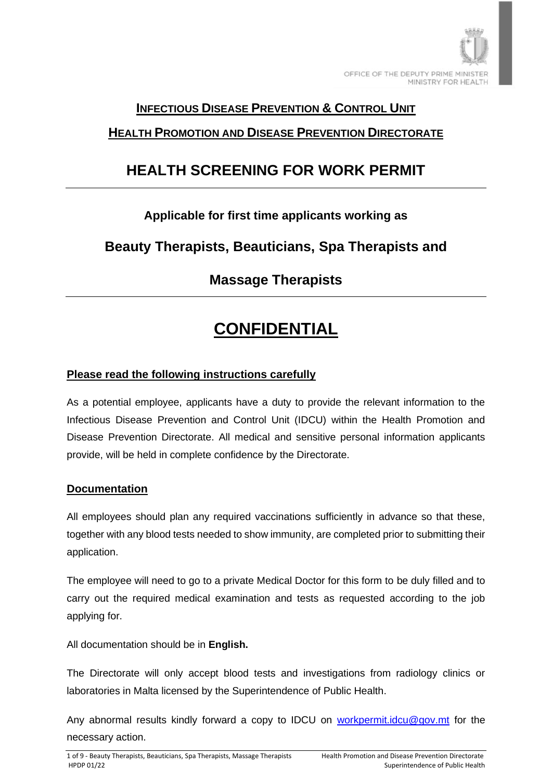

### **INFECTIOUS DISEASE PREVENTION & CONTROL UNIT**

### **HEALTH PROMOTION AND DISEASE PREVENTION DIRECTORATE**

## **HEALTH SCREENING FOR WORK PERMIT**

## **Applicable for first time applicants working as**

## **Beauty Therapists, Beauticians, Spa Therapists and**

## **Massage Therapists**

## **CONFIDENTIAL**

#### **Please read the following instructions carefully**

As a potential employee, applicants have a duty to provide the relevant information to the Infectious Disease Prevention and Control Unit (IDCU) within the Health Promotion and Disease Prevention Directorate. All medical and sensitive personal information applicants provide, will be held in complete confidence by the Directorate.

#### **Documentation**

All employees should plan any required vaccinations sufficiently in advance so that these, together with any blood tests needed to show immunity, are completed prior to submitting their application.

The employee will need to go to a private Medical Doctor for this form to be duly filled and to carry out the required medical examination and tests as requested according to the job applying for.

All documentation should be in **English.**

The Directorate will only accept blood tests and investigations from radiology clinics or laboratories in Malta licensed by the Superintendence of Public Health.

Any abnormal results kindly forward a copy to IDCU on [workpermit.idcu@gov.mt](mailto:workpermit.idcu@gov.mt) for the necessary action.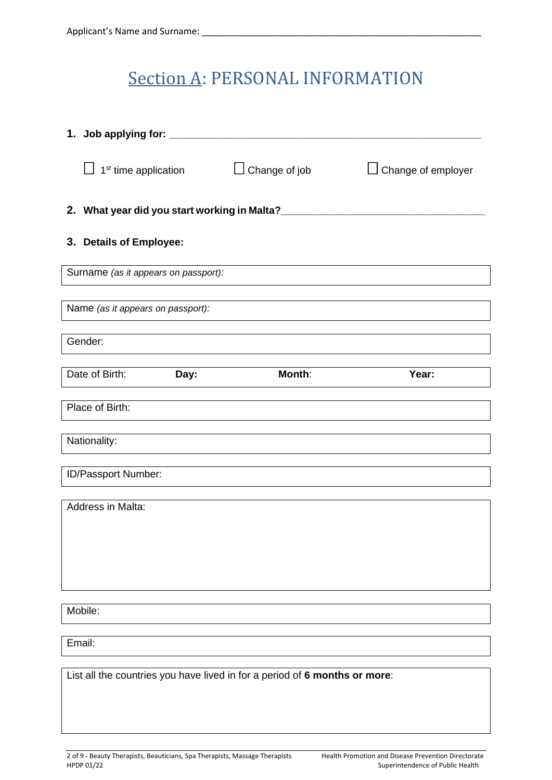## Section A: PERSONAL INFORMATION

| 1. Job applying for: _______      |                                      |                                                                            |                    |
|-----------------------------------|--------------------------------------|----------------------------------------------------------------------------|--------------------|
|                                   | 1 <sup>st</sup> time application     | $\Box$ Change of job                                                       | Change of employer |
|                                   |                                      | 2. What year did you start working in Malta?                               |                    |
| 3. Details of Employee:           |                                      |                                                                            |                    |
|                                   | Surname (as it appears on passport): |                                                                            |                    |
| Name (as it appears on passport): |                                      |                                                                            |                    |
| Gender:                           |                                      |                                                                            |                    |
| Date of Birth:                    | Day:                                 | Month:                                                                     | Year:              |
| Place of Birth:                   |                                      |                                                                            |                    |
| Nationality:                      |                                      |                                                                            |                    |
| ID/Passport Number:               |                                      |                                                                            |                    |
| Address in Malta:                 |                                      |                                                                            |                    |
|                                   |                                      |                                                                            |                    |
|                                   |                                      |                                                                            |                    |
| Mobile:                           |                                      |                                                                            |                    |
| Email:                            |                                      |                                                                            |                    |
|                                   |                                      |                                                                            |                    |
|                                   |                                      | List all the countries you have lived in for a period of 6 months or more: |                    |
|                                   |                                      |                                                                            |                    |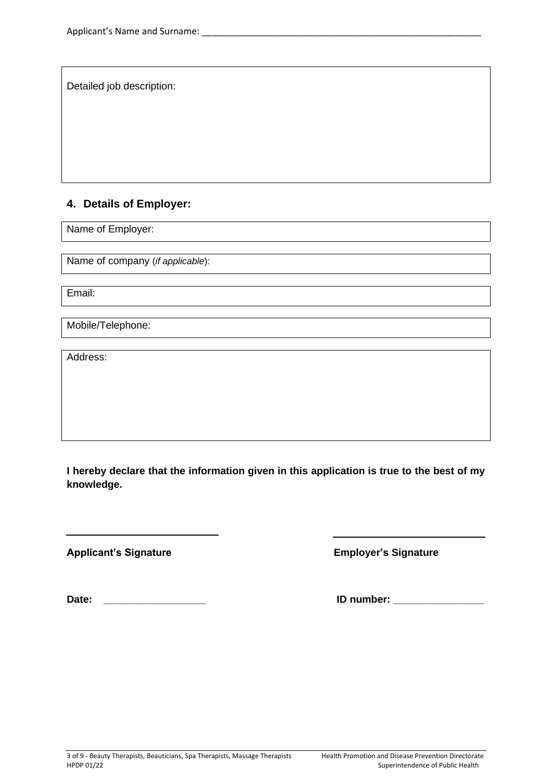Detailed job description:

#### **4. Details of Employer:**

Name of Employer:

Name of company (*if applicable*):

Email:

Mobile/Telephone:

Address:

**I hereby declare that the information given in this application is true to the best of my knowledge.**

**Applicant's Signature Employer's Signature**

Date: **Date: Date:** *Date:* **<b>***Dependent in the set of the set of the set of the set of the set of the set of the set of the set of the set of the set of the set of the set of the set of the set of the set of the set of*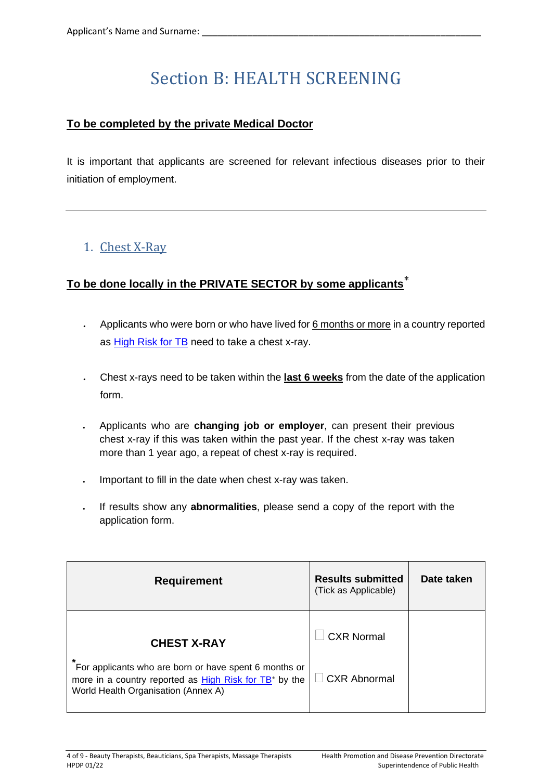# Section B: HEALTH SCREENING

#### **To be completed by the private Medical Doctor**

It is important that applicants are screened for relevant infectious diseases prior to their initiation of employment.

## 1. Chest X-Ray

### **To be done locally in the PRIVATE SECTOR by some applicants**

- Applicants who were born or who have lived for 6 months or more in a country reported as [High Risk for TB](https://deputyprimeminister.gov.mt/en/health-promotion/idpcu/Documents/HIGH%20RISK%20TUBERCULOSIS%20COUNTRY%20LIST.pdf) need to take a chest x-ray.
- Chest x-rays need to be taken within the **last 6 weeks** from the date of the application form.
- Applicants who are **changing job or employer**, can present their previous chest x-ray if this was taken within the past year. If the chest x-ray was taken more than 1 year ago, a repeat of chest x-ray is required.
- Important to fill in the date when chest x-ray was taken.
- If results show any **abnormalities**, please send a copy of the report with the application form.

| <b>Requirement</b>                                                                                                                                                      | <b>Results submitted</b><br>(Tick as Applicable) | Date taken |
|-------------------------------------------------------------------------------------------------------------------------------------------------------------------------|--------------------------------------------------|------------|
| <b>CHEST X-RAY</b>                                                                                                                                                      | <b>CXR Normal</b>                                |            |
| *<br>For applicants who are born or have spent 6 months or<br>more in a country reported as High Risk for TB <sup>*</sup> by the<br>World Health Organisation (Annex A) | $\Box$ CXR Abnormal                              |            |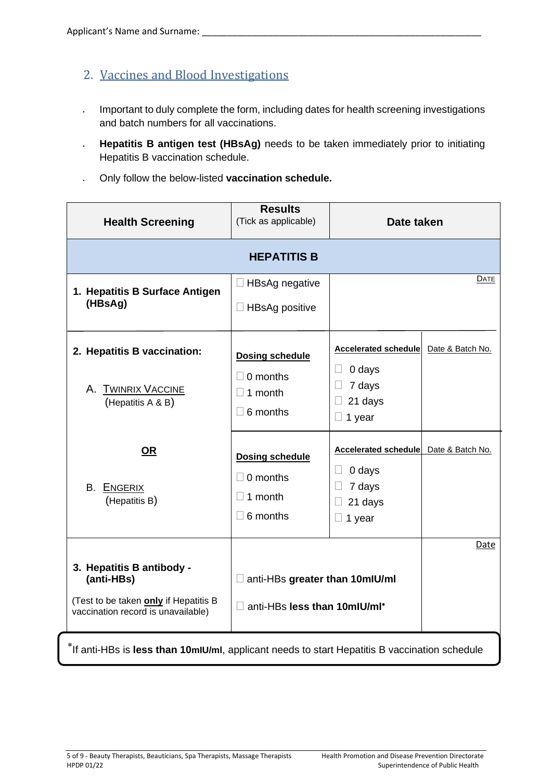- 2. Vaccines and Blood Investigations
- Important to duly complete the form, including dates for health screening investigations and batch numbers for all vaccinations.
- **Hepatitis B antigen test (HBsAg)** needs to be taken immediately prior to initiating Hepatitis B vaccination schedule.
- Only follow the below-listed **vaccination schedule.**

| <b>Health Screening</b>                                                                                   | <b>Results</b><br>(Tick as applicable) | Date taken                            |                  |
|-----------------------------------------------------------------------------------------------------------|----------------------------------------|---------------------------------------|------------------|
| <b>HEPATITIS B</b>                                                                                        |                                        |                                       |                  |
| 1. Hepatitis B Surface Antigen                                                                            | $\Box$ HBsAg negative                  |                                       | DATE             |
| (HBsAg)                                                                                                   | $\Box$ HBsAg positive                  |                                       |                  |
| 2. Hepatitis B vaccination:                                                                               | <b>Dosing schedule</b>                 | <b>Accelerated schedule</b>           | Date & Batch No. |
| A. TWINRIX VACCINE                                                                                        | $\Box$ 0 months                        | 0 days<br>$\Box$<br>7 days<br>$\Box$  |                  |
| (Hepatitis A & B)                                                                                         | $\Box$ 1 month<br>$\Box$ 6 months      | 21 days<br>$\Box$                     |                  |
|                                                                                                           |                                        | $\Box$ 1 year                         |                  |
| <u>OR</u>                                                                                                 | <b>Dosing schedule</b>                 | Accelerated schedule Date & Batch No. |                  |
|                                                                                                           | $\Box$ 0 months                        | $\Box$<br>0 days<br>7 days<br>u       |                  |
| <b>B.</b> ENGERIX<br>(Hepatitis B)                                                                        | $\Box$ 1 month                         | 21 days                               |                  |
|                                                                                                           | $\Box$ 6 months                        | $\Box$ 1 year                         |                  |
|                                                                                                           |                                        |                                       | Date             |
| 3. Hepatitis B antibody -<br>(anti-HBs)                                                                   | anti-HBs greater than 10mlU/ml         |                                       |                  |
| (Test to be taken only if Hepatitis B<br>vaccination record is unavailable)                               | anti-HBs less than 10mlU/ml*           |                                       |                  |
| <sup>*</sup> If anti-HBs is less than 10mIU/mI, applicant needs to start Hepatitis B vaccination schedule |                                        |                                       |                  |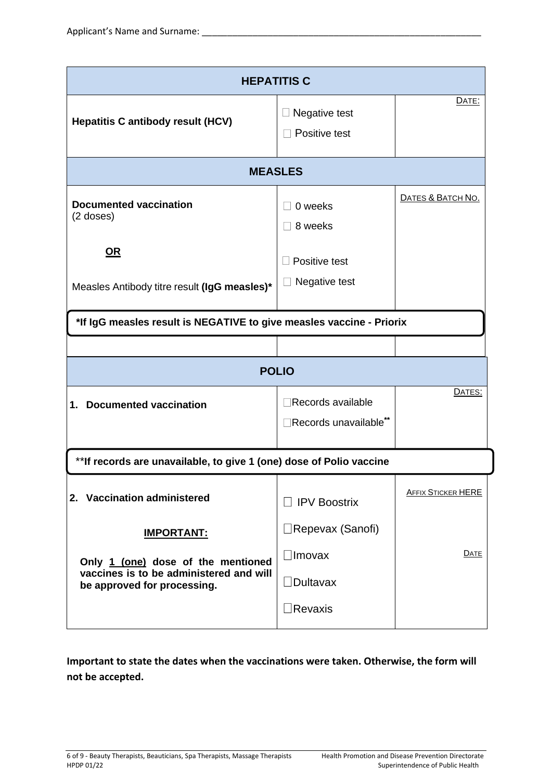| <b>HEPATITIS C</b>                                                                                           |                                                       |                           |  |
|--------------------------------------------------------------------------------------------------------------|-------------------------------------------------------|---------------------------|--|
| <b>Hepatitis C antibody result (HCV)</b>                                                                     | Negative test<br>Positive test                        | DATE:                     |  |
| <b>MEASLES</b>                                                                                               |                                                       |                           |  |
| <b>Documented vaccination</b><br>$(2$ doses)                                                                 | 0 weeks<br>8 weeks                                    | DATES & BATCH NO.         |  |
| <u>OR</u><br>Measles Antibody titre result (IgG measles)*                                                    | Positive test<br>Negative test                        |                           |  |
| *If IgG measles result is NEGATIVE to give measles vaccine - Priorix                                         |                                                       |                           |  |
|                                                                                                              |                                                       |                           |  |
|                                                                                                              | <b>POLIO</b>                                          |                           |  |
| <b>Documented vaccination</b><br>1.                                                                          | Records available<br>Records unavailable**            | DATES:                    |  |
| ** If records are unavailable, to give 1 (one) dose of Polio vaccine                                         |                                                       |                           |  |
| 2. Vaccination administered                                                                                  | $\Box$ IPV Boostrix                                   | <b>AFFIX STICKER HERE</b> |  |
| <u>IMPORTANT:</u>                                                                                            | $\Box$ Repevax (Sanofi)                               |                           |  |
| Only 1 (one) dose of the mentioned<br>vaccines is to be administered and will<br>be approved for processing. | $\Box$ Imovax<br>$\Box$ Dultavax<br>$\exists$ Revaxis | <b>DATE</b>               |  |

**Important to state the dates when the vaccinations were taken. Otherwise, the form will not be accepted.**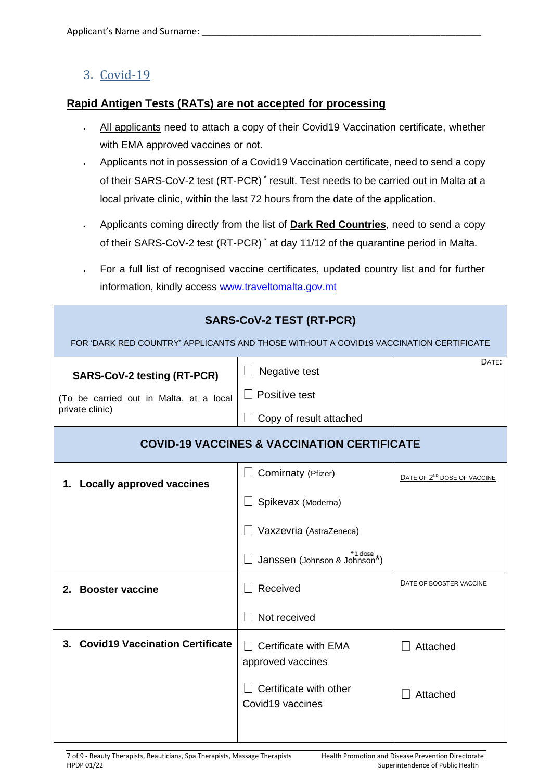### 3. Covid-19

#### **Rapid Antigen Tests (RATs) are not accepted for processing**

- All applicants need to attach a copy of their Covid19 Vaccination certificate, whether with EMA approved vaccines or not.
- Applicants not in possession of a Covid19 Vaccination certificate, need to send a copy of their SARS-CoV-2 test (RT-PCR)<sup>\*</sup> result. Test needs to be carried out in Malta at a local private clinic, within the last 72 hours from the date of the application.
- Applicants coming directly from the list of **Dark Red Countries**, need to send a copy of their SARS-CoV-2 test (RT-PCR) \* at day 11/12 of the quarantine period in Malta.
- For a full list of recognised vaccine certificates, updated country list and for further information, kindly access [www.traveltomalta.gov.mt](http://www.traveltomalta.gov.mt/)

| <b>SARS-CoV-2 TEST (RT-PCR)</b><br>FOR 'DARK RED COUNTRY' APPLICANTS AND THOSE WITHOUT A COVID19 VACCINATION CERTIFICATE |                                                                                                                            |                                         |  |  |
|--------------------------------------------------------------------------------------------------------------------------|----------------------------------------------------------------------------------------------------------------------------|-----------------------------------------|--|--|
| <b>SARS-CoV-2 testing (RT-PCR)</b><br>(To be carried out in Malta, at a local<br>private clinic)                         | Negative test<br>Positive test<br>Copy of result attached                                                                  | DATE:                                   |  |  |
|                                                                                                                          | <b>COVID-19 VACCINES &amp; VACCINATION CERTIFICATE</b>                                                                     |                                         |  |  |
| 1. Locally approved vaccines                                                                                             | Comirnaty (Pfizer)<br>Spikevax (Moderna)<br>Vaxzevria (AstraZeneca)<br>l dose <sub>x</sub><br>Janssen (Johnson & Johnson*) | DATE OF 2 <sup>ND</sup> DOSE OF VACCINE |  |  |
| 2. Booster vaccine                                                                                                       | Received<br>Not received                                                                                                   | DATE OF BOOSTER VACCINE                 |  |  |
| 3. Covid19 Vaccination Certificate                                                                                       | Certificate with EMA<br>approved vaccines<br>Certificate with other<br>Covid19 vaccines                                    | Attached<br>Attached                    |  |  |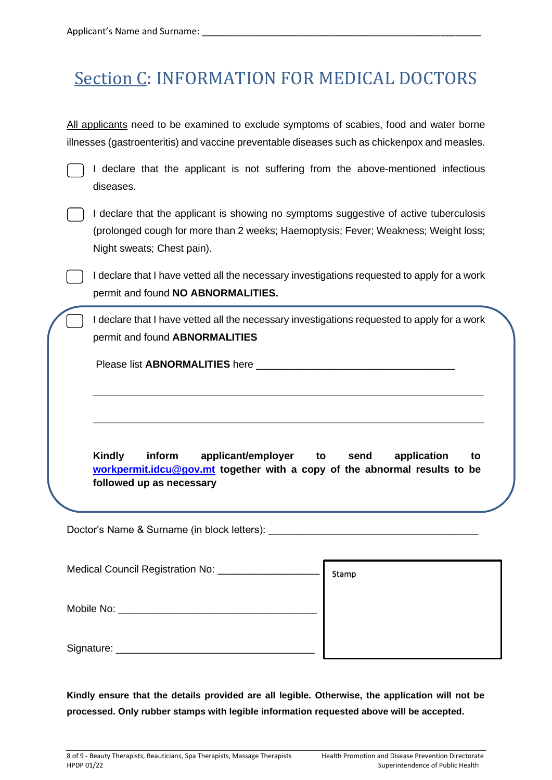## Section C: INFORMATION FOR MEDICAL DOCTORS

All applicants need to be examined to exclude symptoms of scabies, food and water borne illnesses (gastroenteritis) and vaccine preventable diseases such as chickenpox and measles.

declare that the applicant is not suffering from the above-mentioned infectious diseases.

declare that the applicant is showing no symptoms suggestive of active tuberculosis (prolonged cough for more than 2 weeks; Haemoptysis; Fever; Weakness; Weight loss; Night sweats; Chest pain).

I declare that I have vetted all the necessary investigations requested to apply for a work permit and found **NO ABNORMALITIES.**

I declare that I have vetted all the necessary investigations requested to apply for a work permit and found **ABNORMALITIES**

\_\_\_\_\_\_\_\_\_\_\_\_\_\_\_\_\_\_\_\_\_\_\_\_\_\_\_\_\_\_\_\_\_\_\_\_\_\_\_\_\_\_\_\_\_\_\_\_\_\_\_\_\_\_\_\_\_\_\_\_\_\_\_\_\_\_\_\_\_

\_\_\_\_\_\_\_\_\_\_\_\_\_\_\_\_\_\_\_\_\_\_\_\_\_\_\_\_\_\_\_\_\_\_\_\_\_\_\_\_\_\_\_\_\_\_\_\_\_\_\_\_\_\_\_\_\_\_\_\_\_\_\_\_\_\_\_\_\_

Please list **ABNORMALITIES** here \_\_\_\_\_\_\_\_\_\_\_\_\_\_\_\_\_\_\_\_\_\_\_\_\_\_\_\_\_\_\_\_\_\_\_

**Kindly inform applicant/employer to send application to [workpermit.idcu@gov.mt](mailto:workpermit.idcu@gov.mt) together with a copy of the abnormal results to be followed up as necessary**

Doctor's Name & Surname (in block letters):

| Medical Council Registration No: _ | Stamp |
|------------------------------------|-------|
| Mobile No:                         |       |
| Signature:                         |       |

**Kindly ensure that the details provided are all legible. Otherwise, the application will not be processed. Only rubber stamps with legible information requested above will be accepted.**